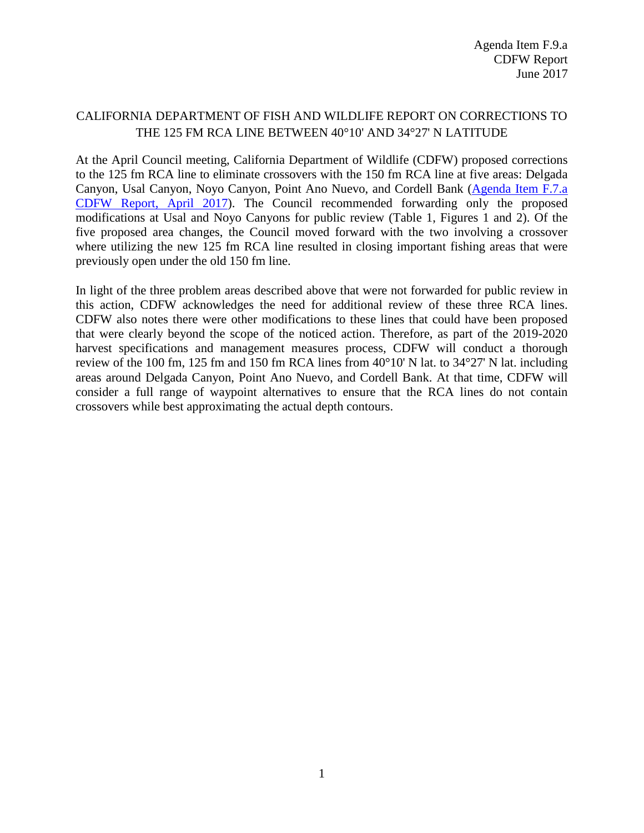## CALIFORNIA DEPARTMENT OF FISH AND WILDLIFE REPORT ON CORRECTIONS TO THE 125 FM RCA LINE BETWEEN 40°10' AND 34°27' N LATITUDE

At the April Council meeting, California Department of Wildlife (CDFW) proposed corrections to the 125 fm RCA line to eliminate crossovers with the 150 fm RCA line at five areas: Delgada Canyon, Usal Canyon, Noyo Canyon, Point Ano Nuevo, and Cordell Bank [\(Agenda Item F.7.a](http://www.pcouncil.org/wp-content/uploads/2017/03/F7a_CDFW_Rpt_Apr2017BB.pdf)  [CDFW Report,](http://www.pcouncil.org/wp-content/uploads/2017/03/F7a_CDFW_Rpt_Apr2017BB.pdf) April 2017). The Council recommended forwarding only the proposed modifications at Usal and Noyo Canyons for public review (Table 1, Figures 1 and 2). Of the five proposed area changes, the Council moved forward with the two involving a crossover where utilizing the new 125 fm RCA line resulted in closing important fishing areas that were previously open under the old 150 fm line.

In light of the three problem areas described above that were not forwarded for public review in this action, CDFW acknowledges the need for additional review of these three RCA lines. CDFW also notes there were other modifications to these lines that could have been proposed that were clearly beyond the scope of the noticed action. Therefore, as part of the 2019-2020 harvest specifications and management measures process, CDFW will conduct a thorough review of the 100 fm, 125 fm and 150 fm RCA lines from 40°10' N lat. to 34°27' N lat. including areas around Delgada Canyon, Point Ano Nuevo, and Cordell Bank. At that time, CDFW will consider a full range of waypoint alternatives to ensure that the RCA lines do not contain crossovers while best approximating the actual depth contours.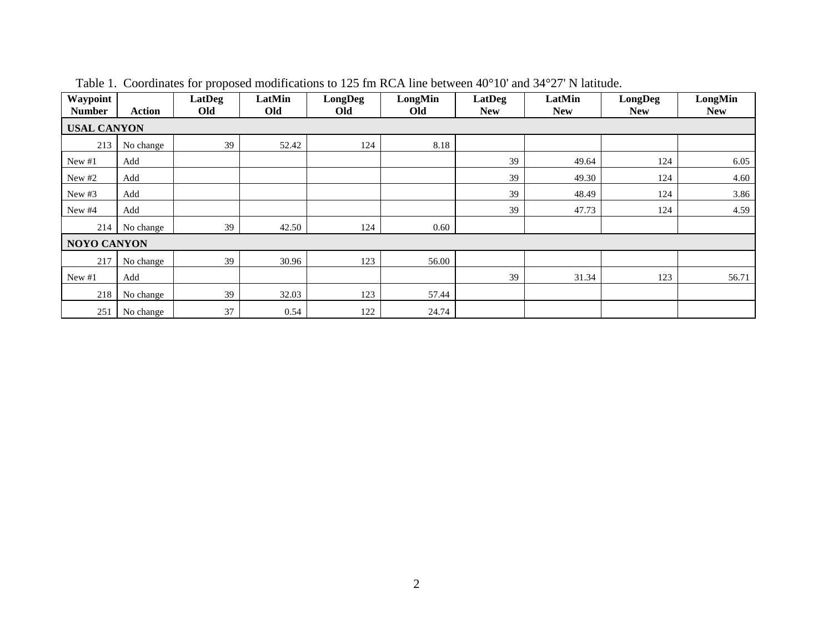| Waypoint<br><b>Number</b> | <b>Action</b> | LatDeg<br>Old | LatMin<br>Old | LongDeg<br>Old | LongMin<br>Old | LatDeg<br><b>New</b> | LatMin<br><b>New</b> | LongDeg<br><b>New</b> | LongMin<br><b>New</b> |
|---------------------------|---------------|---------------|---------------|----------------|----------------|----------------------|----------------------|-----------------------|-----------------------|
| <b>USAL CANYON</b>        |               |               |               |                |                |                      |                      |                       |                       |
| 213                       | No change     | 39            | 52.42         | 124            | 8.18           |                      |                      |                       |                       |
| New #1                    | Add           |               |               |                |                | 39                   | 49.64                | 124                   | 6.05                  |
| New $#2$                  | Add           |               |               |                |                | 39                   | 49.30                | 124                   | 4.60                  |
| New $#3$                  | Add           |               |               |                |                | 39                   | 48.49                | 124                   | 3.86                  |
| New #4                    | Add           |               |               |                |                | 39                   | 47.73                | 124                   | 4.59                  |
| 214                       | No change     | 39            | 42.50         | 124            | 0.60           |                      |                      |                       |                       |
| <b>NOYO CANYON</b>        |               |               |               |                |                |                      |                      |                       |                       |
| 217                       | No change     | 39            | 30.96         | 123            | 56.00          |                      |                      |                       |                       |
| New $#1$                  | Add           |               |               |                |                | 39                   | 31.34                | 123                   | 56.71                 |
| 218                       | No change     | 39            | 32.03         | 123            | 57.44          |                      |                      |                       |                       |
| 251                       | No change     | 37            | 0.54          | 122            | 24.74          |                      |                      |                       |                       |

Table 1. Coordinates for proposed modifications to 125 fm RCA line between 40°10' and 34°27' N latitude.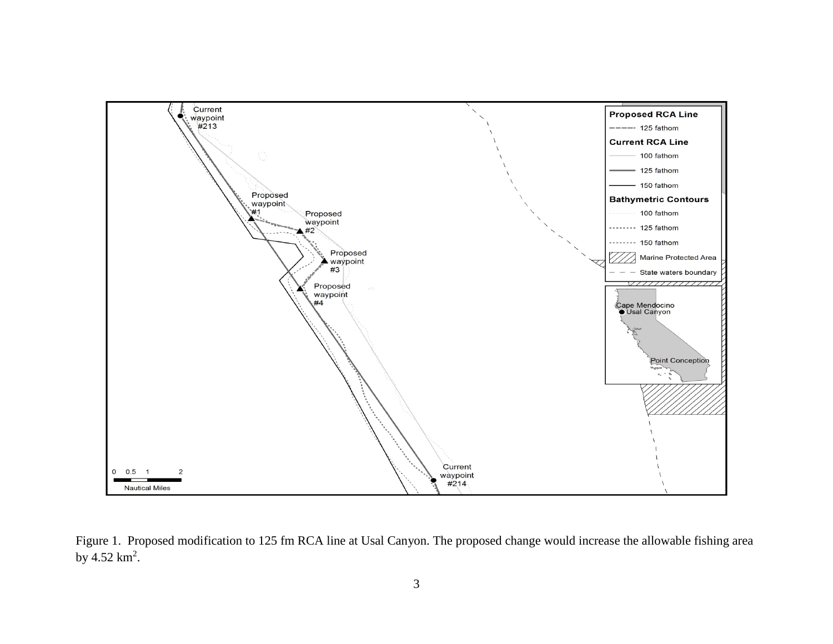

Figure 1. Proposed modification to 125 fm RCA line at Usal Canyon. The proposed change would increase the allowable fishing area by  $4.52 \text{ km}^2$ .